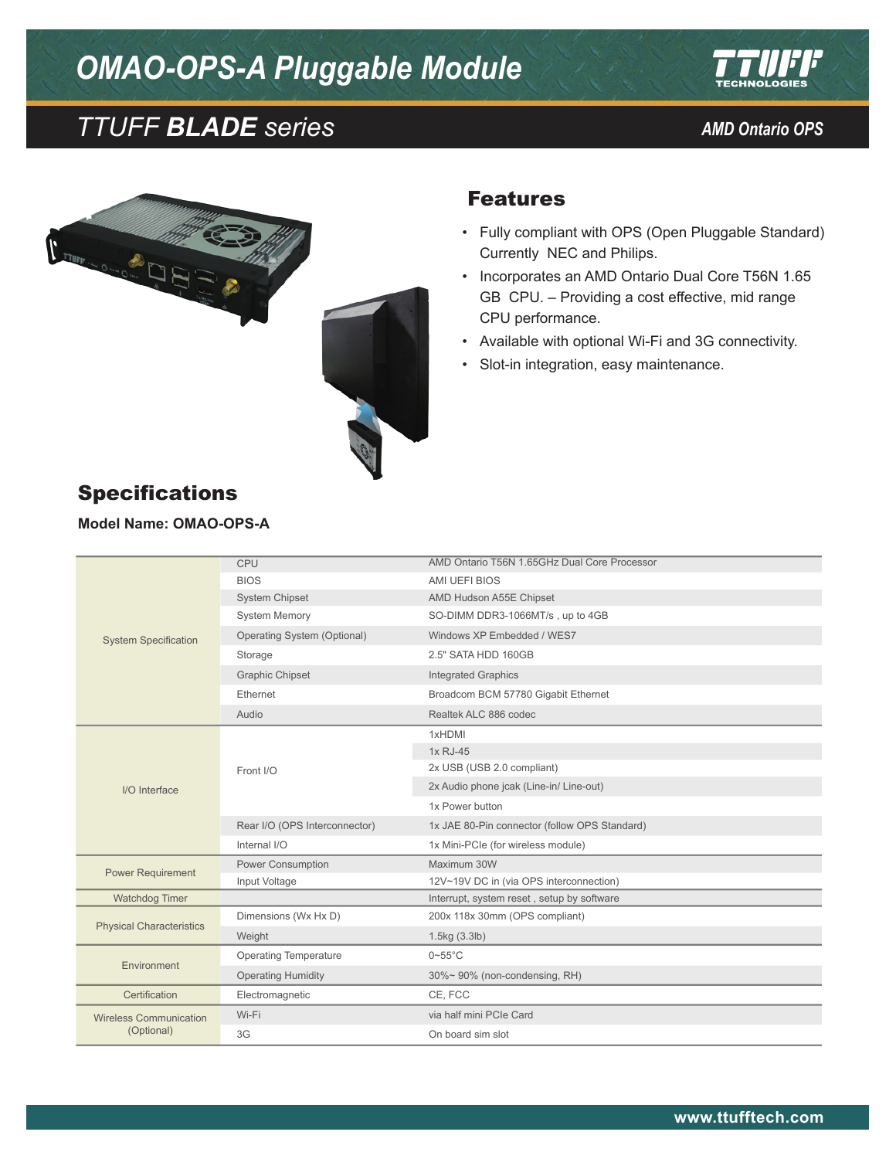# *OMAO-OPS-A Pluggable Module*







#### Features

- • Fully compliant with OPS (Open Pluggable Standard) Currently NEC and Philips.
- Incorporates an AMD Ontario Dual Core T56N 1.65 GB CPU. – Providing a cost effective, mid range CPU performance.
- • Available with optional Wi-Fi and 3G connectivity.
- • Slot-in integration, easy maintenance.

| <b>Specifications</b> |  |
|-----------------------|--|
|-----------------------|--|

**Model Name: OMAO-OPS-A**

|                                 | CPU                           | AMD Ontario T56N 1.65GHz Dual Core Processor  |
|---------------------------------|-------------------------------|-----------------------------------------------|
| <b>System Specification</b>     | <b>BIOS</b>                   | AMI UEFI BIOS                                 |
|                                 | <b>System Chipset</b>         | AMD Hudson A55E Chipset                       |
|                                 | <b>System Memory</b>          | SO-DIMM DDR3-1066MT/s, up to 4GB              |
|                                 | Operating System (Optional)   | Windows XP Embedded / WES7                    |
|                                 | Storage                       | 2.5" SATA HDD 160GB                           |
|                                 | <b>Graphic Chipset</b>        | <b>Integrated Graphics</b>                    |
|                                 | Ethernet                      | Broadcom BCM 57780 Gigabit Ethernet           |
|                                 | Audio                         | Realtek ALC 886 codec                         |
|                                 | Front I/O                     | 1xHDMI                                        |
|                                 |                               | 1x RJ-45                                      |
|                                 |                               | 2x USB (USB 2.0 compliant)                    |
| I/O Interface                   |                               | 2x Audio phone jcak (Line-in/ Line-out)       |
|                                 |                               |                                               |
|                                 |                               | 1x Power button                               |
|                                 | Rear I/O (OPS Interconnector) | 1x JAE 80-Pin connector (follow OPS Standard) |
|                                 | Internal I/O                  | 1x Mini-PCIe (for wireless module)            |
|                                 | Power Consumption             | Maximum 30W                                   |
| <b>Power Requirement</b>        | Input Voltage                 | 12V~19V DC in (via OPS interconnection)       |
| Watchdog Timer                  |                               | Interrupt, system reset, setup by software    |
|                                 | Dimensions (Wx Hx D)          | 200x 118x 30mm (OPS compliant)                |
| <b>Physical Characteristics</b> | Weight                        | 1.5kg (3.3lb)                                 |
|                                 | <b>Operating Temperature</b>  | $0\nightharpoonup 55^\circ C$                 |
| Environment                     | <b>Operating Humidity</b>     | 30%~90% (non-condensing, RH)                  |
| Certification                   | Electromagnetic               | CE, FCC                                       |
| <b>Wireless Communication</b>   | Wi-Fi                         | via half mini PCIe Card                       |